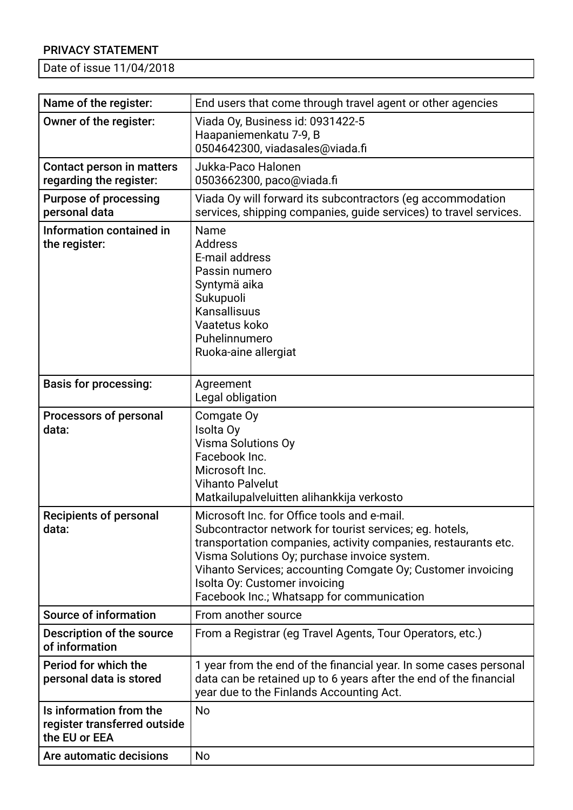## PRIVACY STATEMENT

Date of issue 11/04/2018

| Name of the register:                                                    | End users that come through travel agent or other agencies                                                                                                                                                                                                                                                                                                            |
|--------------------------------------------------------------------------|-----------------------------------------------------------------------------------------------------------------------------------------------------------------------------------------------------------------------------------------------------------------------------------------------------------------------------------------------------------------------|
| Owner of the register:                                                   | Viada Oy, Business id: 0931422-5<br>Haapaniemenkatu 7-9, B<br>0504642300, viadasales@viada.fi                                                                                                                                                                                                                                                                         |
| Contact person in matters<br>regarding the register:                     | Jukka-Paco Halonen<br>0503662300, paco@viada.fi                                                                                                                                                                                                                                                                                                                       |
| <b>Purpose of processing</b><br>personal data                            | Viada Oy will forward its subcontractors (eg accommodation<br>services, shipping companies, guide services) to travel services.                                                                                                                                                                                                                                       |
| Information contained in<br>the register:                                | Name<br><b>Address</b><br>E-mail address<br>Passin numero<br>Syntymä aika<br>Sukupuoli<br>Kansallisuus<br>Vaatetus koko<br>Puhelinnumero<br>Ruoka-aine allergiat                                                                                                                                                                                                      |
| <b>Basis for processing:</b>                                             | Agreement<br>Legal obligation                                                                                                                                                                                                                                                                                                                                         |
| Processors of personal<br>data:                                          | Comgate Oy<br>Isolta Oy<br><b>Visma Solutions Oy</b><br>Facebook Inc.<br>Microsoft Inc.<br><b>Vihanto Palvelut</b><br>Matkailupalveluitten alihankkija verkosto                                                                                                                                                                                                       |
| <b>Recipients of personal</b><br>data:                                   | Microsoft Inc. for Office tools and e-mail.<br>Subcontractor network for tourist services; eg. hotels,<br>transportation companies, activity companies, restaurants etc.<br>Visma Solutions Oy; purchase invoice system.<br>Vihanto Services; accounting Comgate Oy; Customer invoicing<br>Isolta Oy: Customer invoicing<br>Facebook Inc.; Whatsapp for communication |
| <b>Source of information</b>                                             | From another source                                                                                                                                                                                                                                                                                                                                                   |
| Description of the source<br>of information                              | From a Registrar (eg Travel Agents, Tour Operators, etc.)                                                                                                                                                                                                                                                                                                             |
| Period for which the<br>personal data is stored                          | 1 year from the end of the financial year. In some cases personal<br>data can be retained up to 6 years after the end of the financial<br>year due to the Finlands Accounting Act.                                                                                                                                                                                    |
| Is information from the<br>register transferred outside<br>the EU or EEA | <b>No</b>                                                                                                                                                                                                                                                                                                                                                             |
| Are automatic decisions                                                  | No                                                                                                                                                                                                                                                                                                                                                                    |